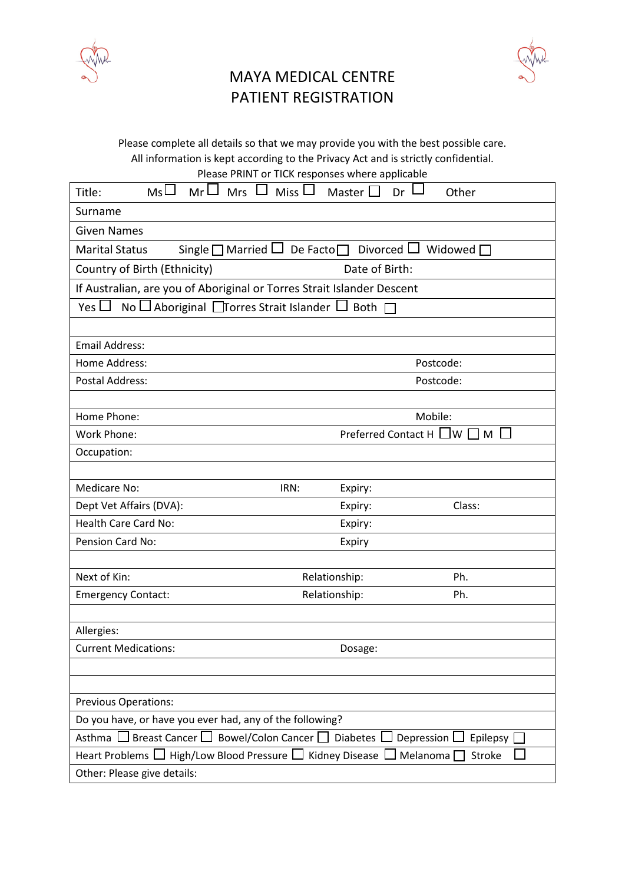

## MAYA MEDICAL CENTRE PATIENT REGISTRATION



Please complete all details so that we may provide you with the best possible care. All information is kept according to the Privacy Act and is strictly confidential.

| $ms\Box$<br>$MrLJ$ Mrs $LI$ Miss $LI$<br>Title:                                                                     | Master I<br>Dr<br>Other               |  |
|---------------------------------------------------------------------------------------------------------------------|---------------------------------------|--|
| Surname                                                                                                             |                                       |  |
| <b>Given Names</b>                                                                                                  |                                       |  |
| Single $\square$ Married $\square$ De Facto $\square$ Divorced $\square$<br><b>Marital Status</b><br>Widowed $\Box$ |                                       |  |
| Date of Birth:<br>Country of Birth (Ethnicity)                                                                      |                                       |  |
| If Australian, are you of Aboriginal or Torres Strait Islander Descent                                              |                                       |  |
| No $\Box$ Aboriginal $\Box$ Torres Strait Islander $\Box$ Both $\Box$<br>Yes $\Box$                                 |                                       |  |
|                                                                                                                     |                                       |  |
| <b>Email Address:</b>                                                                                               |                                       |  |
| Home Address:                                                                                                       | Postcode:                             |  |
| <b>Postal Address:</b>                                                                                              | Postcode:                             |  |
|                                                                                                                     |                                       |  |
| Home Phone:                                                                                                         | Mobile:                               |  |
| Work Phone:                                                                                                         | Preferred Contact H $\Box$ W [<br>I M |  |
| Occupation:                                                                                                         |                                       |  |
|                                                                                                                     |                                       |  |
| Medicare No:<br>IRN:                                                                                                | Expiry:                               |  |
| Dept Vet Affairs (DVA):                                                                                             | Class:<br>Expiry:                     |  |
| Health Care Card No:                                                                                                | Expiry:                               |  |
| Pension Card No:                                                                                                    | Expiry                                |  |
| Next of Kin:                                                                                                        | Ph.                                   |  |
| Relationship:<br>Relationship:<br><b>Emergency Contact:</b>                                                         | Ph.                                   |  |
|                                                                                                                     |                                       |  |
| Allergies:                                                                                                          |                                       |  |
| <b>Current Medications:</b>                                                                                         | Dosage:                               |  |
|                                                                                                                     |                                       |  |
|                                                                                                                     |                                       |  |
| <b>Previous Operations:</b>                                                                                         |                                       |  |
| Do you have, or have you ever had, any of the following?                                                            |                                       |  |
| Breast Cancer $\square$<br>Bowel/Colon Cancer □ Diabetes<br>Depression<br>Asthma l<br>Epilepsy                      |                                       |  |
| Heart Problems □ High/Low Blood Pressure □ Kidney Disease<br>Melanoma<br><b>Stroke</b>                              |                                       |  |
| Other: Please give details:                                                                                         |                                       |  |